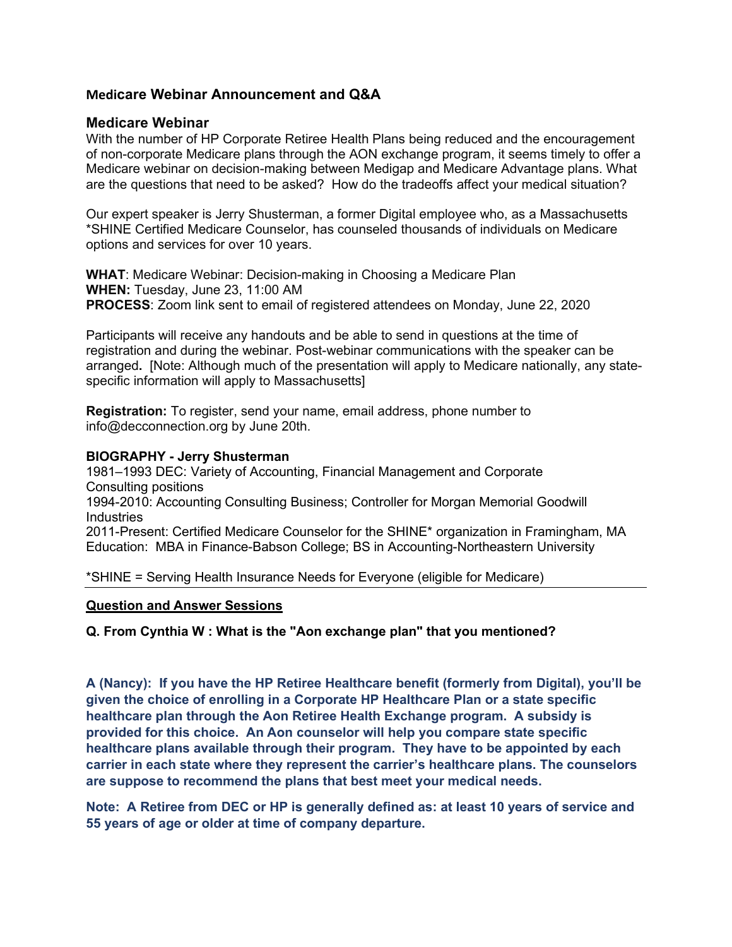## **Medicare Webinar Announcement and Q&A**

## **Medicare Webinar**

With the number of HP Corporate Retiree Health Plans being reduced and the encouragement of non-corporate Medicare plans through the AON exchange program, it seems timely to offer a Medicare webinar on decision-making between Medigap and Medicare Advantage plans. What are the questions that need to be asked? How do the tradeoffs affect your medical situation?

Our expert speaker is Jerry Shusterman, a former Digital employee who, as a Massachusetts \*SHINE Certified Medicare Counselor, has counseled thousands of individuals on Medicare options and services for over 10 years.

**WHAT**: Medicare Webinar: Decision-making in Choosing a Medicare Plan **WHEN:** Tuesday, June 23, 11:00 AM **PROCESS**: Zoom link sent to email of registered attendees on Monday, June 22, 2020

Participants will receive any handouts and be able to send in questions at the time of registration and during the webinar. Post-webinar communications with the speaker can be arranged**.** [Note: Although much of the presentation will apply to Medicare nationally, any statespecific information will apply to Massachusetts]

**Registration:** To register, send your name, email address, phone number to info@decconnection.org by June 20th.

### **BIOGRAPHY - Jerry Shusterman**

1981–1993 DEC: Variety of Accounting, Financial Management and Corporate Consulting positions 1994-2010: Accounting Consulting Business; Controller for Morgan Memorial Goodwill **Industries** 2011-Present: Certified Medicare Counselor for the SHINE\* organization in Framingham, MA Education: MBA in Finance-Babson College; BS in Accounting-Northeastern University

\*SHINE = Serving Health Insurance Needs for Everyone (eligible for Medicare)

### **Question and Answer Sessions**

**Q. From Cynthia W : What is the "Aon exchange plan" that you mentioned?**

**A (Nancy): If you have the HP Retiree Healthcare benefit (formerly from Digital), you'll be given the choice of enrolling in a Corporate HP Healthcare Plan or a state specific healthcare plan through the Aon Retiree Health Exchange program. A subsidy is provided for this choice. An Aon counselor will help you compare state specific healthcare plans available through their program. They have to be appointed by each carrier in each state where they represent the carrier's healthcare plans. The counselors are suppose to recommend the plans that best meet your medical needs.**

**Note: A Retiree from DEC or HP is generally defined as: at least 10 years of service and 55 years of age or older at time of company departure.**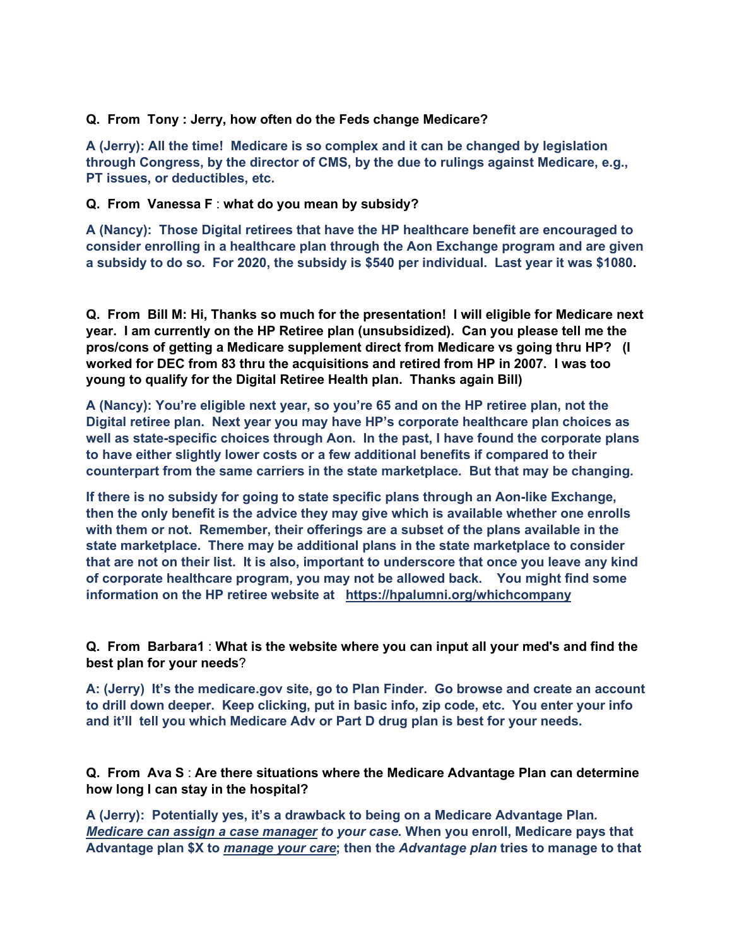### **Q. From Tony : Jerry, how often do the Feds change Medicare?**

**A (Jerry): All the time! Medicare is so complex and it can be changed by legislation through Congress, by the director of CMS, by the due to rulings against Medicare, e.g., PT issues, or deductibles, etc.**

## **Q. From Vanessa F** : **what do you mean by subsidy?**

**A (Nancy): Those Digital retirees that have the HP healthcare benefit are encouraged to consider enrolling in a healthcare plan through the Aon Exchange program and are given a subsidy to do so. For 2020, the subsidy is \$540 per individual. Last year it was \$1080.**

**Q. From Bill M: Hi, Thanks so much for the presentation! I will eligible for Medicare next year. I am currently on the HP Retiree plan (unsubsidized). Can you please tell me the pros/cons of getting a Medicare supplement direct from Medicare vs going thru HP? (I worked for DEC from 83 thru the acquisitions and retired from HP in 2007. I was too young to qualify for the Digital Retiree Health plan. Thanks again Bill)**

**A (Nancy): You're eligible next year, so you're 65 and on the HP retiree plan, not the Digital retiree plan. Next year you may have HP's corporate healthcare plan choices as well as state-specific choices through Aon. In the past, I have found the corporate plans to have either slightly lower costs or a few additional benefits if compared to their counterpart from the same carriers in the state marketplace. But that may be changing.** 

**If there is no subsidy for going to state specific plans through an Aon-like Exchange, then the only benefit is the advice they may give which is available whether one enrolls with them or not. Remember, their offerings are a subset of the plans available in the state marketplace. There may be additional plans in the state marketplace to consider that are not on their list. It is also, important to underscore that once you leave any kind of corporate healthcare program, you may not be allowed back. You might find some information on the HP retiree website at <https://hpalumni.org/whichcompany>**

**Q. From Barbara1** : **What is the website where you can input all your med's and find the best plan for your needs**?

**A: (Jerry) It's the medicare.gov site, go to Plan Finder. Go browse and create an account to drill down deeper. Keep clicking, put in basic info, zip code, etc. You enter your info and it'll tell you which Medicare Adv or Part D drug plan is best for your needs.**

**Q. From Ava S** : **Are there situations where the Medicare Advantage Plan can determine how long I can stay in the hospital?**

**A (Jerry): Potentially yes, it's a drawback to being on a Medicare Advantage Plan***. Medicare can assign a case manager to your case.* **When you enroll, Medicare pays that Advantage plan \$X to** *manage your care***; then the** *Advantage plan* **tries to manage to that**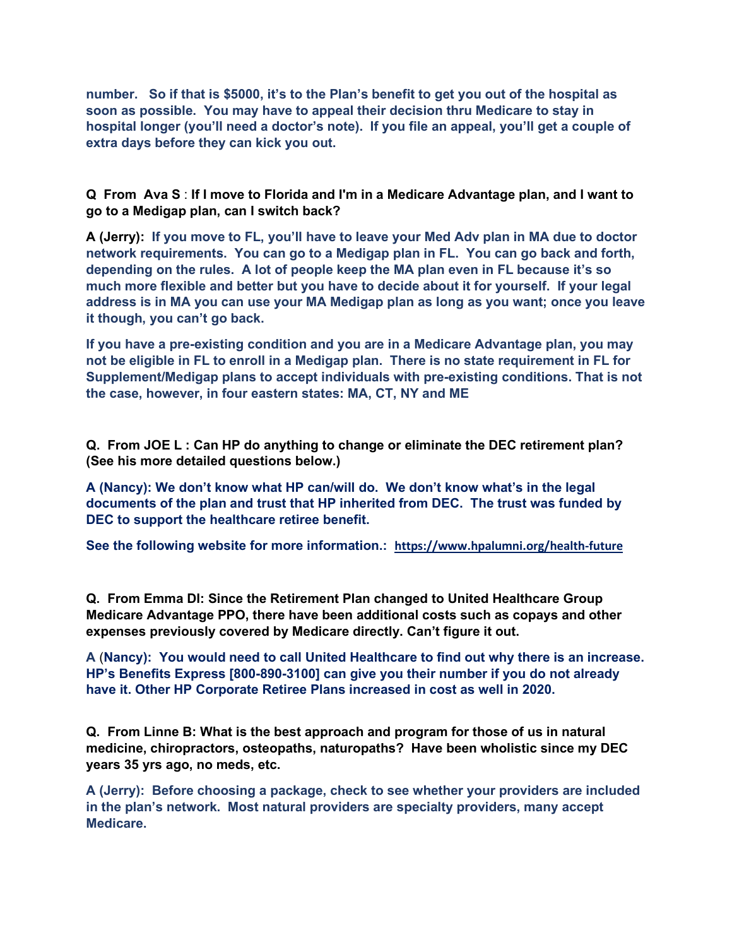**number. So if that is \$5000, it's to the Plan's benefit to get you out of the hospital as soon as possible. You may have to appeal their decision thru Medicare to stay in hospital longer (you'll need a doctor's note). If you file an appeal, you'll get a couple of extra days before they can kick you out.**

**Q From Ava S** : **If I move to Florida and I'm in a Medicare Advantage plan, and I want to go to a Medigap plan, can I switch back?**

**A (Jerry): If you move to FL, you'll have to leave your Med Adv plan in MA due to doctor network requirements. You can go to a Medigap plan in FL. You can go back and forth, depending on the rules. A lot of people keep the MA plan even in FL because it's so much more flexible and better but you have to decide about it for yourself. If your legal address is in MA you can use your MA Medigap plan as long as you want; once you leave it though, you can't go back.**

**If you have a pre-existing condition and you are in a Medicare Advantage plan, you may not be eligible in FL to enroll in a Medigap plan. There is no state requirement in FL for Supplement/Medigap plans to accept individuals with pre-existing conditions. That is not the case, however, in four eastern states: MA, CT, NY and ME**

**Q. From JOE L : Can HP do anything to change or eliminate the DEC retirement plan? (See his more detailed questions below.)**

**A (Nancy): We don't know what HP can/will do. We don't know what's in the legal documents of the plan and trust that HP inherited from DEC. The trust was funded by DEC to support the healthcare retiree benefit.**

**See the following website for more information.: <https://www.hpalumni.org/health-future>**

**Q. From Emma Dl: Since the Retirement Plan changed to United Healthcare Group Medicare Advantage PPO, there have been additional costs such as copays and other expenses previously covered by Medicare directly. Can't figure it out.**

**A** (**Nancy): You would need to call United Healthcare to find out why there is an increase. HP's Benefits Express [800-890-3100] can give you their number if you do not already have it. Other HP Corporate Retiree Plans increased in cost as well in 2020.**

**Q. From Linne B: What is the best approach and program for those of us in natural medicine, chiropractors, osteopaths, naturopaths? Have been wholistic since my DEC years 35 yrs ago, no meds, etc.**

**A (Jerry): Before choosing a package, check to see whether your providers are included in the plan's network. Most natural providers are specialty providers, many accept Medicare.**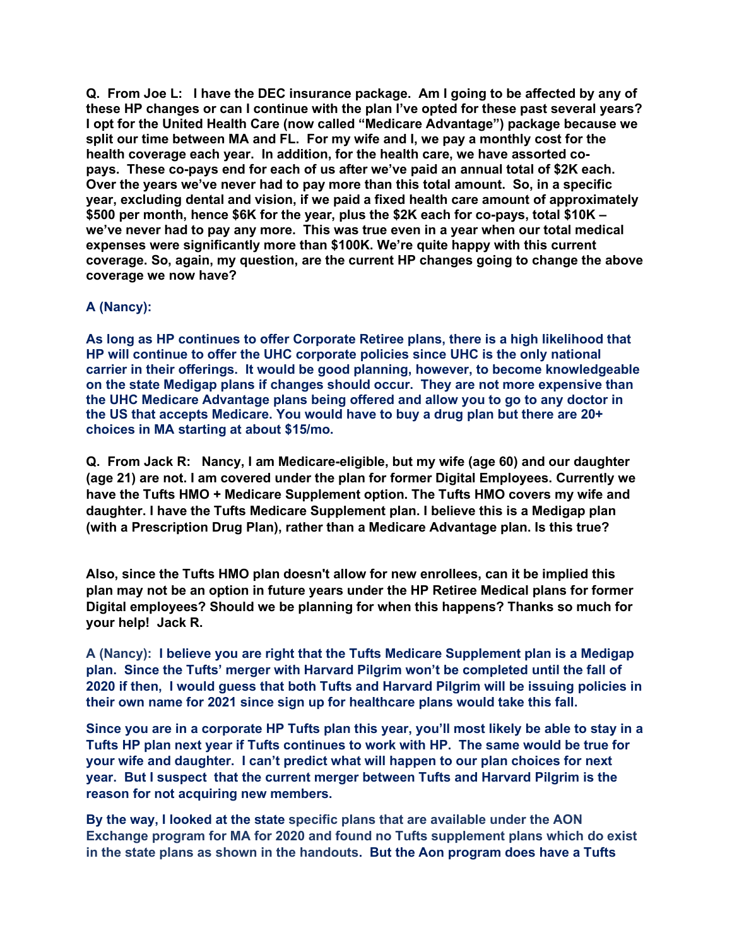**Q. From Joe L: I have the DEC insurance package. Am I going to be affected by any of these HP changes or can I continue with the plan I've opted for these past several years? I opt for the United Health Care (now called "Medicare Advantage") package because we split our time between MA and FL. For my wife and I, we pay a monthly cost for the health coverage each year. In addition, for the health care, we have assorted copays. These co-pays end for each of us after we've paid an annual total of \$2K each. Over the years we've never had to pay more than this total amount. So, in a specific year, excluding dental and vision, if we paid a fixed health care amount of approximately \$500 per month, hence \$6K for the year, plus the \$2K each for co-pays, total \$10K – we've never had to pay any more. This was true even in a year when our total medical expenses were significantly more than \$100K. We're quite happy with this current coverage. So, again, my question, are the current HP changes going to change the above coverage we now have?**

# **A (Nancy):**

**As long as HP continues to offer Corporate Retiree plans, there is a high likelihood that HP will continue to offer the UHC corporate policies since UHC is the only national carrier in their offerings. It would be good planning, however, to become knowledgeable on the state Medigap plans if changes should occur. They are not more expensive than the UHC Medicare Advantage plans being offered and allow you to go to any doctor in the US that accepts Medicare. You would have to buy a drug plan but there are 20+ choices in MA starting at about \$15/mo.**

**Q. From Jack R: Nancy, I am Medicare-eligible, but my wife (age 60) and our daughter (age 21) are not. I am covered under the plan for former Digital Employees. Currently we have the Tufts HMO + Medicare Supplement option. The Tufts HMO covers my wife and daughter. I have the Tufts Medicare Supplement plan. I believe this is a Medigap plan (with a Prescription Drug Plan), rather than a Medicare Advantage plan. Is this true?** 

**Also, since the Tufts HMO plan doesn't allow for new enrollees, can it be implied this plan may not be an option in future years under the HP Retiree Medical plans for former Digital employees? Should we be planning for when this happens? Thanks so much for your help! Jack R.**

**A (Nancy): I believe you are right that the Tufts Medicare Supplement plan is a Medigap plan. Since the Tufts' merger with Harvard Pilgrim won't be completed until the fall of 2020 if then, I would guess that both Tufts and Harvard Pilgrim will be issuing policies in their own name for 2021 since sign up for healthcare plans would take this fall.**

**Since you are in a corporate HP Tufts plan this year, you'll most likely be able to stay in a Tufts HP plan next year if Tufts continues to work with HP. The same would be true for your wife and daughter. I can't predict what will happen to our plan choices for next year. But I suspect that the current merger between Tufts and Harvard Pilgrim is the reason for not acquiring new members.** 

**By the way, I looked at the state specific plans that are available under the AON Exchange program for MA for 2020 and found no Tufts supplement plans which do exist in the state plans as shown in the handouts. But the Aon program does have a Tufts**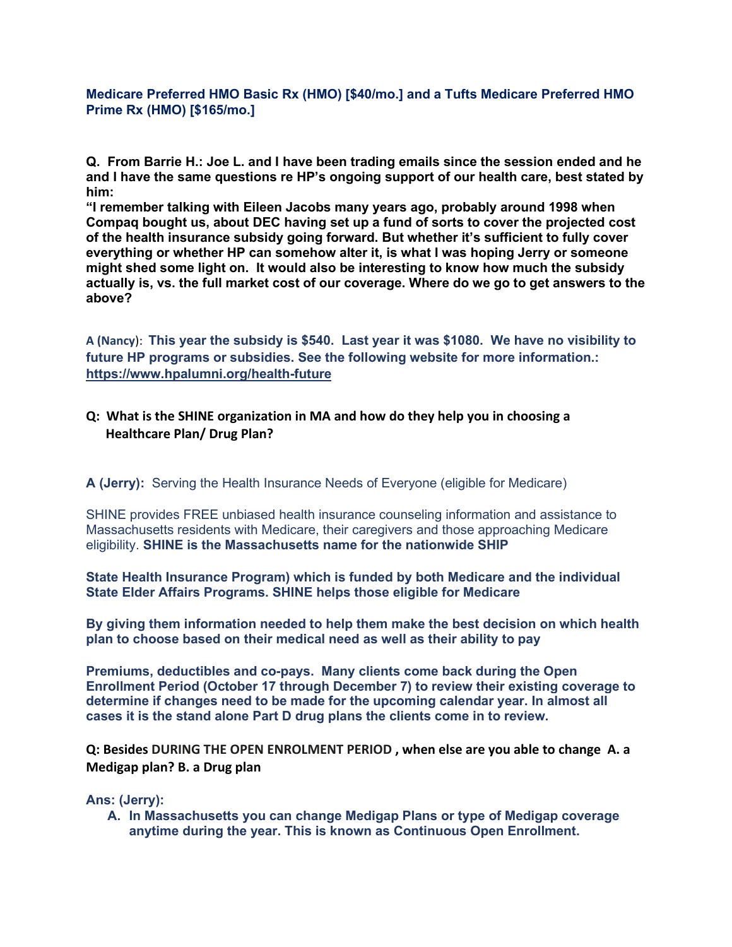**Medicare Preferred HMO Basic Rx (HMO) [\$40/mo.] and a Tufts Medicare Preferred HMO Prime Rx (HMO) [\$165/mo.]**

**Q. From Barrie H.: Joe L. and I have been trading emails since the session ended and he and I have the same questions re HP's ongoing support of our health care, best stated by him:**

**"I remember talking with Eileen Jacobs many years ago, probably around 1998 when Compaq bought us, about DEC having set up a fund of sorts to cover the projected cost of the health insurance subsidy going forward. But whether it's sufficient to fully cover everything or whether HP can somehow alter it, is what I was hoping Jerry or someone might shed some light on. It would also be interesting to know how much the subsidy actually is, vs. the full market cost of our coverage. Where do we go to get answers to the above?**

**A (Nancy**): **This year the subsidy is \$540. Last year it was \$1080. We have no visibility to future HP programs or subsidies. See the following website for more information.: <https://www.hpalumni.org/health-future>**

# **Q: What is the SHINE organization in MA and how do they help you in choosing a Healthcare Plan/ Drug Plan?**

**A (Jerry):** Serving the Health Insurance Needs of Everyone (eligible for Medicare)

SHINE provides FREE unbiased health insurance counseling information and assistance to Massachusetts residents with Medicare, their caregivers and those approaching Medicare eligibility. **SHINE is the Massachusetts name for the nationwide SHIP**

**State Health Insurance Program) which is funded by both Medicare and the individual State Elder Affairs Programs. SHINE helps those eligible for Medicare**

**By giving them information needed to help them make the best decision on which health plan to choose based on their medical need as well as their ability to pay**

**Premiums, deductibles and co-pays. Many clients come back during the Open Enrollment Period (October 17 through December 7) to review their existing coverage to determine if changes need to be made for the upcoming calendar year. In almost all cases it is the stand alone Part D drug plans the clients come in to review.**

**Q: Besides DURING THE OPEN ENROLMENT PERIOD , when else are you able to change A. a Medigap plan? B. a Drug plan**

**Ans: (Jerry):** 

**A. In Massachusetts you can change Medigap Plans or type of Medigap coverage anytime during the year. This is known as Continuous Open Enrollment.**